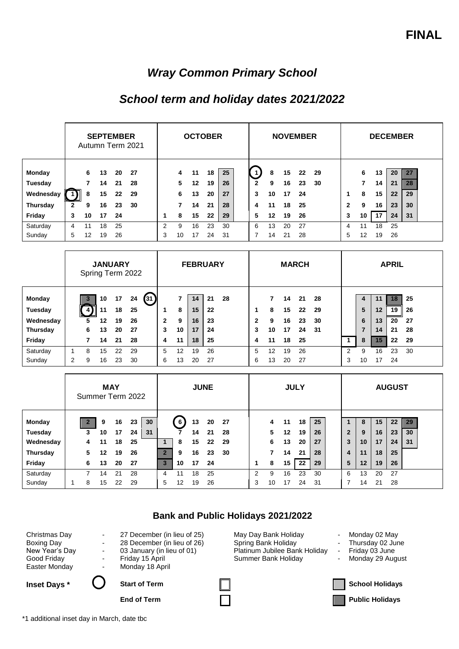## *Wray Common Primary School*

## *School term and holiday dates 2021/2022*

|                 | <b>SEPTEMBER</b><br>Autumn Term 2021 |    |    |    | <b>OCTOBER</b> |   |    |    |    |    |  | <b>NOVEMBER</b> |    |    |    |     |              | <b>DECEMBER</b> |    |    |    |  |  |
|-----------------|--------------------------------------|----|----|----|----------------|---|----|----|----|----|--|-----------------|----|----|----|-----|--------------|-----------------|----|----|----|--|--|
| Monday          |                                      | 6  | 13 | 20 | -27            |   | 4  | 11 | 18 | 25 |  | -1              | 8  | 15 | 22 | -29 |              | 6               | 13 | 20 | 27 |  |  |
| Tuesday         |                                      |    | 14 | 21 | 28             |   | 5  | 12 | 19 | 26 |  | $\mathbf{2}$    | 9  | 16 | 23 | 30  |              | 7               | 14 | 21 | 28 |  |  |
| Wednesday       |                                      | 8  | 15 | 22 | 29             |   | 6  | 13 | 20 | 27 |  | 3               | 10 | 17 | 24 |     |              | 8               | 15 | 22 | 29 |  |  |
| <b>Thursday</b> | $\mathbf{2}$                         | 9  | 16 | 23 | 30             |   | 7  | 14 | 21 | 28 |  | 4               | 11 | 18 | 25 |     | $\mathbf{2}$ | 9               | 16 | 23 | 30 |  |  |
| Friday          | 3                                    | 10 | 17 | 24 |                | 1 | 8  | 15 | 22 | 29 |  | 5               | 12 | 19 | 26 |     | 3            | 10              | 17 | 24 | 31 |  |  |
| Saturday        | 4                                    | 11 | 18 | 25 |                | 2 | 9  | 16 | 23 | 30 |  | 6               | 13 | 20 | 27 |     | 4            | 11              | 18 | 25 |    |  |  |
| Sunday          | 5                                    | 12 | 19 | 26 |                | 3 | 10 | 17 | 24 | 31 |  | 7               | 14 | 21 | 28 |     | 5            | 12              | 19 | 26 |    |  |  |

|           |   | Spring Term 2022 |    | <b>JANUARY</b> |    |       |              |    | <b>FEBRUARY</b> |    |    |              |    | <b>MARCH</b> |    |    |   |    |    | <b>APRIL</b> |     |  |
|-----------|---|------------------|----|----------------|----|-------|--------------|----|-----------------|----|----|--------------|----|--------------|----|----|---|----|----|--------------|-----|--|
| Monday    |   |                  | 10 | 17             | 24 | (31 ) |              | 7  | 14              | 21 | 28 |              |    | 14           | 21 | 28 |   | 4  | 11 | 18           | 25  |  |
|           |   |                  |    |                |    |       |              |    |                 |    |    |              |    |              |    |    |   |    |    |              |     |  |
| Tuesday   |   | 41               | 11 | 18             | 25 |       |              | 8  | 15              | 22 |    | 1            | 8  | 15           | 22 | 29 |   | 5  | 12 | 19           | -26 |  |
| Wednesday |   | 5                | 12 | 19             | 26 |       | $\mathbf{2}$ | 9  | 16              | 23 |    | $\mathbf{2}$ | 9  | 16           | 23 | 30 |   | 6  | 13 | 20           | 27  |  |
| Thursday  |   | 6                | 13 | 20             | 27 |       | 3            | 10 | 17              | 24 |    | 3            | 10 | 17           | 24 | 31 |   | 7  | 14 | 21           | 28  |  |
| Friday    |   |                  | 14 | 21             | 28 |       | 4            | 11 | 18              | 25 |    | 4            | 11 | 18           | 25 |    |   | 8  | 15 | 22           | 29  |  |
| Saturday  | 1 | 8                | 15 | 22             | 29 |       | 5            | 12 | 19              | 26 |    | 5            | 12 | 19           | 26 |    | 2 | 9  | 16 | 23           | 30  |  |
| Sunday    | 2 | 9                | 16 | 23             | 30 |       | 6            | 13 | 20              | 27 |    | 6            | 13 | 20           | 27 |    | 3 | 10 | 17 | 24           |     |  |

|           | <b>MAY</b><br>Summer Term 2022 |    |    |    | <b>JUNE</b> |   |    |    |    |     | <b>JULY</b> |    |    |         |    |  | <b>AUGUST</b> |    |    |    |    |  |
|-----------|--------------------------------|----|----|----|-------------|---|----|----|----|-----|-------------|----|----|---------|----|--|---------------|----|----|----|----|--|
| Monday    |                                | 9  | 16 | 23 | 30          |   | 6  | 13 | 20 | -27 |             | 4  | 11 | 18      | 25 |  |               | 8  | 15 | 22 | 29 |  |
| Tuesday   | 3                              | 10 | 17 | 24 | 31          |   |    | 14 | 21 | 28  |             | 5. | 12 | 19      | 26 |  | $\mathbf{2}$  | 9  | 16 | 23 | 30 |  |
| Wednesday | 4                              | 11 | 18 | 25 |             |   | 8  | 15 | 22 | 29  |             | 6  | 13 | 20      | 27 |  | 3             | 10 | 17 | 24 | 31 |  |
| Thursday  | 5                              | 12 | 19 | 26 |             |   | 9  | 16 | 23 | 30  |             |    | 14 | 21      | 28 |  | 4             | 11 | 18 | 25 |    |  |
| Friday    | 6                              | 13 | 20 | 27 |             | 3 | 10 | 17 | 24 |     | 1           | 8  | 15 | $22 \,$ | 29 |  | 5             | 12 | 19 | 26 |    |  |
| Saturday  |                                | 14 | 21 | 28 |             | 4 | 11 | 18 | 25 |     | 2           | 9  | 16 | 23      | 30 |  | 6             | 13 | 20 | 27 |    |  |
| Sunday    | 8<br>۰                         | 15 | 22 | 29 |             | 5 | 12 | 19 | 26 |     | 3           | 10 | 17 | 24      | 31 |  |               | 14 | 21 | 28 |    |  |

## **Bank and Public Holidays 2021/2022**

| Christmas Day     |
|-------------------|
| <b>Boxing Day</b> |
| New Year's Day    |
| Good Friday       |
| Easter Monday     |



- 27 December (in lieu of 25) May Day Bank Holiday - Monday 02 May - 28 December (in lieu of 26) Spring Bank Holiday - Thursday 02 June - 03 January (in lieu of 01) Platinum Jubilee Bank Holiday - Friday 03 June<br>- Friday 15 April - Summer Bank Holiday - Monday 29 August Summer Bank Holiday - Monday

- 
- 
- 



\*1 additional inset day in March, date tbc